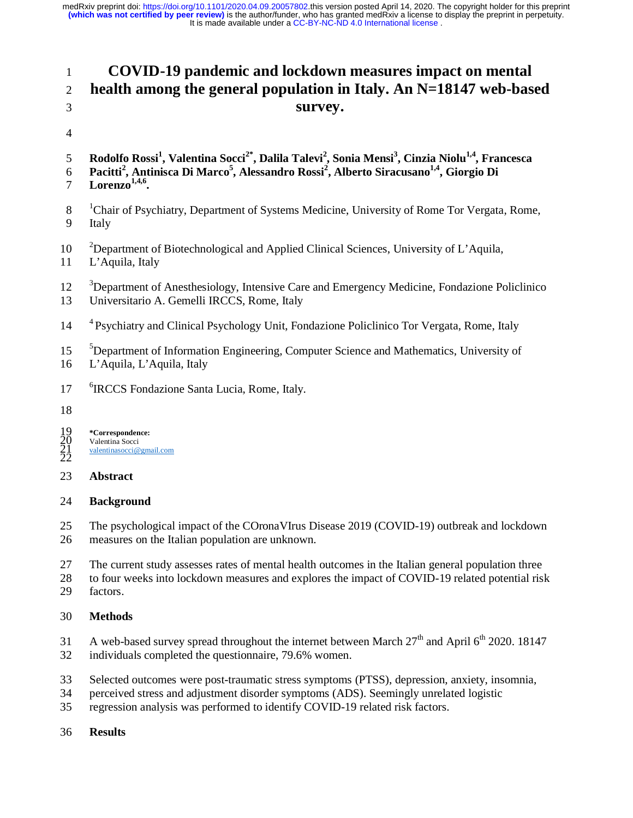# 1 **COVID-19 pandemic and lockdown measures impact on mental**  2 **health among the general population in Italy. An N=18147 web-based**  3 **survey.**

- 4
- 5 Rodolfo Rossi<sup>1</sup>, Valentina Socci<sup>2\*</sup>, Dalila Talevi<sup>2</sup>, Sonia Mensi<sup>3</sup>, Cinzia Niolu<sup>1,4</sup>, Francesca
- 6 Pacitti<sup>2</sup>, Antinisca Di Marco<sup>5</sup>, Alessandro Rossi<sup>2</sup>, Alberto Siracusano<sup>1,4</sup>, Giorgio Di
- **Lorenzo1,4,6** 7 **.**
- <sup>1</sup> Chair of Psychiatry, Department of Systems Medicine, University of Rome Tor Vergata, Rome, 9 Italy
- <sup>2</sup> 2 Department of Biotechnological and Applied Clinical Sciences, University of L'Aquila,
- 11 L'Aquila, Italy
- <sup>3</sup> Department of Anesthesiology, Intensive Care and Emergency Medicine, Fondazione Policlinico
- 13 Universitario A. Gemelli IRCCS, Rome, Italy
- <sup>4</sup> Psychiatry and Clinical Psychology Unit, Fondazione Policlinico Tor Vergata, Rome, Italy
- <sup>5</sup> 15 <sup>•</sup> Department of Information Engineering, Computer Science and Mathematics, University of
- 16 L'Aquila, L'Aquila, Italy
- <sup>6</sup> 1RCCS Fondazione Santa Lucia, Rome, Italy.
- 18

19 **\*Correspondence:**  Valentina Socci valentinasocci@gmail.com  $\frac{19}{20}$ <br> $\frac{21}{22}$ 

## 23 **Abstract**

## 24 **Background**

25 The psychological impact of the COronaVIrus Disease 2019 (COVID-19) outbreak and lockdown 26 measures on the Italian population are unknown.

- 27 The current study assesses rates of mental health outcomes in the Italian general population three
- 28 to four weeks into lockdown measures and explores the impact of COVID-19 related potential risk
- 29 factors.

## 30 **Methods**

- 31 A web-based survey spread throughout the internet between March  $27<sup>th</sup>$  and April 6<sup>th</sup> 2020. 18147
- 32 individuals completed the questionnaire, 79.6% women.
- 33 Selected outcomes were post-traumatic stress symptoms (PTSS), depression, anxiety, insomnia,
- 34 perceived stress and adjustment disorder symptoms (ADS). Seemingly unrelated logistic
- 35 regression analysis was performed to identify COVID-19 related risk factors.
- 36 **Results**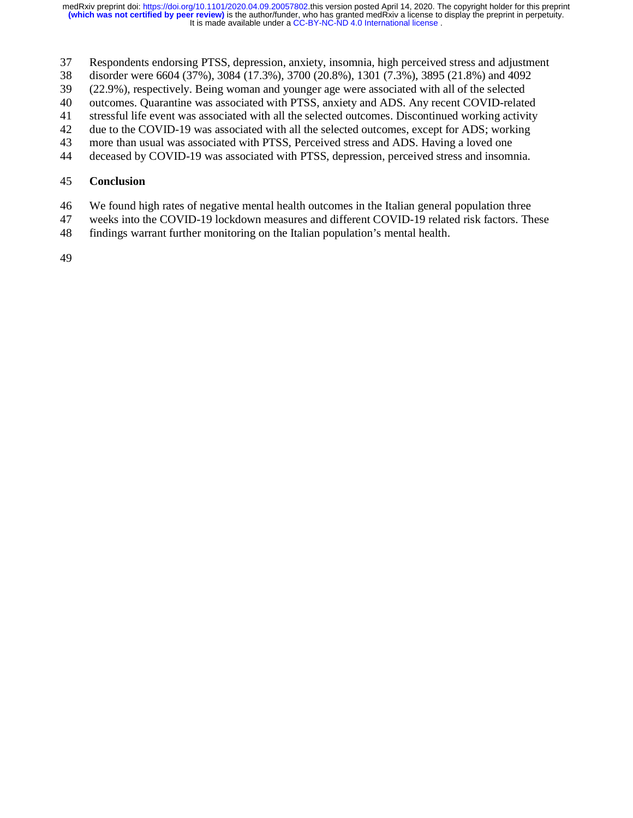- 37 Respondents endorsing PTSS, depression, anxiety, insomnia, high perceived stress and adjustment
- 38 disorder were 6604 (37%), 3084 (17.3%), 3700 (20.8%), 1301 (7.3%), 3895 (21.8%) and 4092
- 39 (22.9%), respectively. Being woman and younger age were associated with all of the selected
- 40 outcomes. Quarantine was associated with PTSS, anxiety and ADS. Any recent COVID-related
- 41 stressful life event was associated with all the selected outcomes. Discontinued working activity
- 42 due to the COVID-19 was associated with all the selected outcomes, except for ADS; working
- 43 more than usual was associated with PTSS, Perceived stress and ADS. Having a loved one
- 44 deceased by COVID-19 was associated with PTSS, depression, perceived stress and insomnia.

#### 45 **Conclusion**

- 46 We found high rates of negative mental health outcomes in the Italian general population three
- 47 weeks into the COVID-19 lockdown measures and different COVID-19 related risk factors. These
- 48 findings warrant further monitoring on the Italian population's mental health.
- 49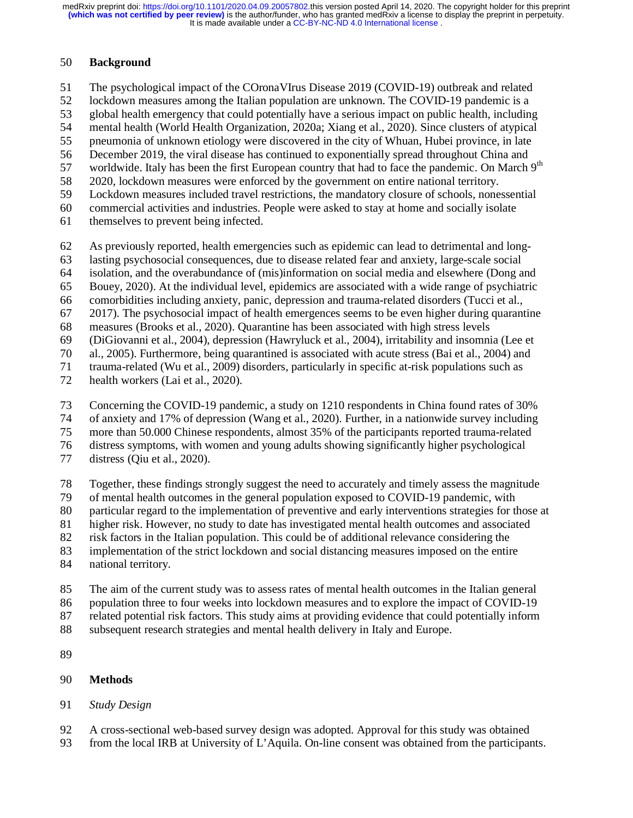#### 50 **Background**

51 The psychological impact of the COronaVIrus Disease 2019 (COVID-19) outbreak and related

52 lockdown measures among the Italian population are unknown. The COVID-19 pandemic is a

53 global health emergency that could potentially have a serious impact on public health, including

54 mental health (World Health Organization, 2020a; Xiang et al., 2020). Since clusters of atypical

55 pneumonia of unknown etiology were discovered in the city of Whuan, Hubei province, in late

56 December 2019, the viral disease has continued to exponentially spread throughout China and

57 worldwide. Italy has been the first European country that had to face the pandemic. On March  $9<sup>th</sup>$ 

58 2020, lockdown measures were enforced by the government on entire national territory. 59 Lockdown measures included travel restrictions, the mandatory closure of schools, nonessential

60 commercial activities and industries. People were asked to stay at home and socially isolate

61 themselves to prevent being infected.

62 As previously reported, health emergencies such as epidemic can lead to detrimental and long-

63 lasting psychosocial consequences, due to disease related fear and anxiety, large-scale social

64 isolation, and the overabundance of (mis)information on social media and elsewhere (Dong and

65 Bouey, 2020). At the individual level, epidemics are associated with a wide range of psychiatric

66 comorbidities including anxiety, panic, depression and trauma-related disorders (Tucci et al.,

67 2017). The psychosocial impact of health emergences seems to be even higher during quarantine

68 measures (Brooks et al., 2020). Quarantine has been associated with high stress levels

69 (DiGiovanni et al., 2004), depression (Hawryluck et al., 2004), irritability and insomnia (Lee et

70 al., 2005). Furthermore, being quarantined is associated with acute stress (Bai et al., 2004) and

71 trauma-related (Wu et al., 2009) disorders, particularly in specific at-risk populations such as

72 health workers (Lai et al., 2020).

73 Concerning the COVID-19 pandemic, a study on 1210 respondents in China found rates of 30%

74 of anxiety and 17% of depression (Wang et al., 2020). Further, in a nationwide survey including

75 more than 50.000 Chinese respondents, almost 35% of the participants reported trauma-related

76 distress symptoms, with women and young adults showing significantly higher psychological

77 distress (Qiu et al., 2020).

78 Together, these findings strongly suggest the need to accurately and timely assess the magnitude

79 of mental health outcomes in the general population exposed to COVID-19 pandemic, with

80 particular regard to the implementation of preventive and early interventions strategies for those at

81 higher risk. However, no study to date has investigated mental health outcomes and associated

82 risk factors in the Italian population. This could be of additional relevance considering the

83 implementation of the strict lockdown and social distancing measures imposed on the entire

84 national territory.

85 The aim of the current study was to assess rates of mental health outcomes in the Italian general

86 population three to four weeks into lockdown measures and to explore the impact of COVID-19

87 related potential risk factors. This study aims at providing evidence that could potentially inform

88 subsequent research strategies and mental health delivery in Italy and Europe.

89

## 90 **Methods**

## 91 *Study Design*

92 A cross-sectional web-based survey design was adopted. Approval for this study was obtained

93 from the local IRB at University of L'Aquila. On-line consent was obtained from the participants.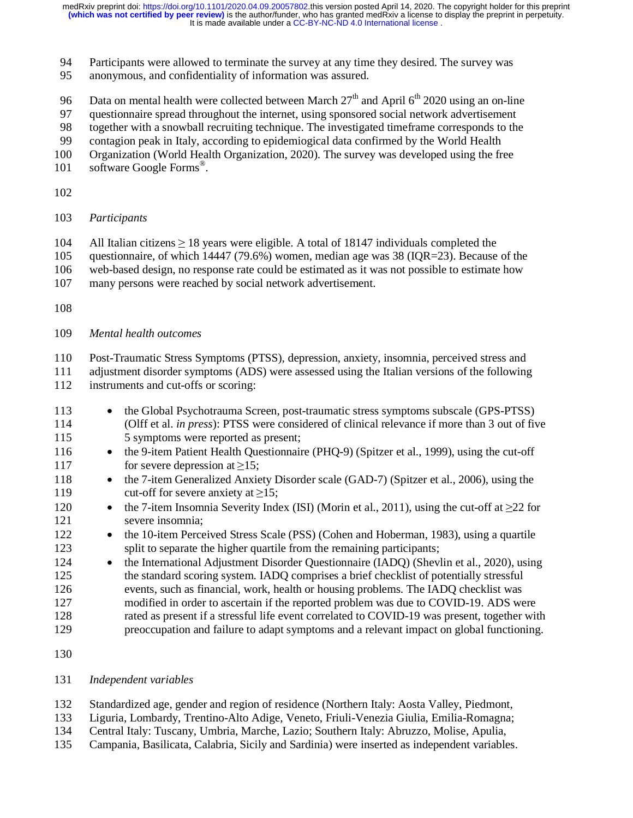It is made available under a [CC-BY-NC-ND 4.0 International license](http://creativecommons.org/licenses/by-nc-nd/4.0/) . medRxiv preprint doi: [https://doi.org/10.1101/2020.04.09.20057802.](https://doi.org/10.1101/2020.04.09.20057802)this version posted April 14, 2020. The copyright holder for this preprint<br>(which was not certified by peer review) is the author/funder, who has granted me

- 94 Participants were allowed to terminate the survey at any time they desired. The survey was
- 95 anonymous, and confidentiality of information was assured.
- 96 Data on mental health were collected between March  $27<sup>th</sup>$  and April  $6<sup>th</sup>$  2020 using an on-line
- 97 questionnaire spread throughout the internet, using sponsored social network advertisement
- 98 together with a snowball recruiting technique. The investigated timeframe corresponds to the
- 99 contagion peak in Italy, according to epidemiogical data confirmed by the World Health
- 100 Organization (World Health Organization, 2020). The survey was developed using the free
- 101 software Google Forms<sup>®</sup>.
- 102
- 103 *Participants*
- 104 All Italian citizens  $\geq$  18 years were eligible. A total of 18147 individuals completed the questionnaire, of which 14447 (79.6%) women, median age was 38 (IQR=23). Because
- questionnaire, of which  $14447$  (79.6%) women, median age was 38 (IQR=23). Because of the
- 106 web-based design, no response rate could be estimated as it was not possible to estimate how
- 107 many persons were reached by social network advertisement.
- 108
- 109 *Mental health outcomes*

110 Post-Traumatic Stress Symptoms (PTSS), depression, anxiety, insomnia, perceived stress and

111 adjustment disorder symptoms (ADS) were assessed using the Italian versions of the following 112 instruments and cut-offs or scoring:

- 113 the Global Psychotrauma Screen, post-traumatic stress symptoms subscale (GPS-PTSS) 114 (Olff et al. *in press*): PTSS were considered of clinical relevance if more than 3 out of five 115 5 symptoms were reported as present;
- 116 the 9-item Patient Health Questionnaire (PHO-9) (Spitzer et al., 1999), using the cut-off 117 for severe depression at  $\ge$ 15;<br>118 • the 7-item Generalized Anxie
- 118 the 7-item Generalized Anxiety Disorder scale (GAD-7) (Spitzer et al., 2006), using the 119 cut-off for severe anxiety at  $\ge$ 15;<br>120 • the 7-item Insomnia Severity Inde
- 120• the 7-item Insomnia Severity Index (ISI) (Morin et al., 2011), using the cut-off at  $\geq$ 22 for severe insomnia: severe insomnia:
- 122 the 10-item Perceived Stress Scale (PSS) (Cohen and Hoberman, 1983), using a quartile 123 split to separate the higher quartile from the remaining participants;
- 124 the International Adjustment Disorder Questionnaire (IADQ) (Shevlin et al., 2020), using 125 the standard scoring system. IADQ comprises a brief checklist of potentially stressful 126 events, such as financial, work, health or housing problems. The IADQ checklist was 127 modified in order to ascertain if the reported problem was due to COVID-19. ADS were 128 rated as present if a stressful life event correlated to COVID-19 was present, together with 129 preoccupation and failure to adapt symptoms and a relevant impact on global functioning.
- 130
- 131 *Independent variables*
- 132 Standardized age, gender and region of residence (Northern Italy: Aosta Valley, Piedmont,
- 133 Liguria, Lombardy, Trentino-Alto Adige, Veneto, Friuli-Venezia Giulia, Emilia-Romagna;
- 134 Central Italy: Tuscany, Umbria, Marche, Lazio; Southern Italy: Abruzzo, Molise, Apulia,
- 135 Campania, Basilicata, Calabria, Sicily and Sardinia) were inserted as independent variables.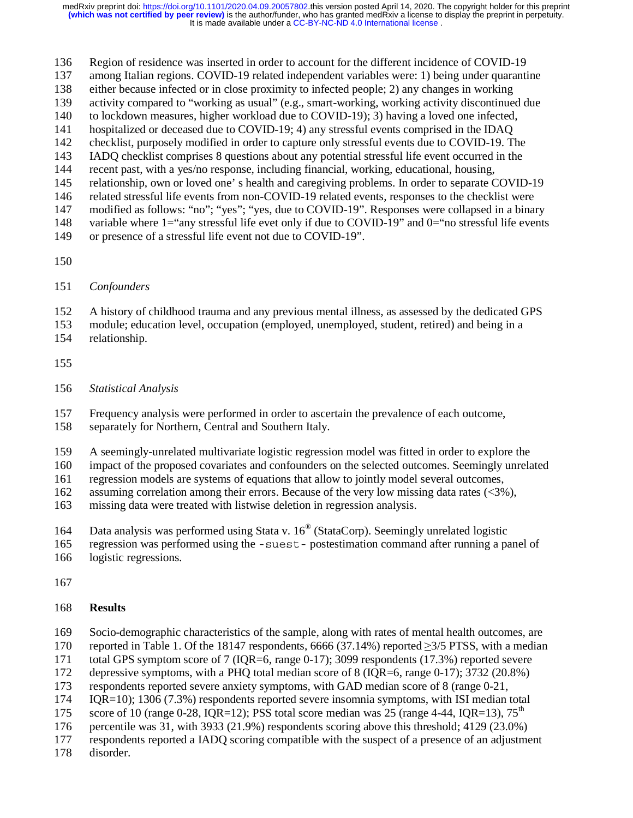- 136 Region of residence was inserted in order to account for the different incidence of COVID-19
- 137 among Italian regions. COVID-19 related independent variables were: 1) being under quarantine
- 138 either because infected or in close proximity to infected people; 2) any changes in working
- 139 activity compared to "working as usual" (e.g., smart-working, working activity discontinued due
- 140 to lockdown measures, higher workload due to COVID-19); 3) having a loved one infected,
- 141 hospitalized or deceased due to COVID-19; 4) any stressful events comprised in the IDAQ 142 checklist, purposely modified in order to capture only stressful events due to COVID-19. The
- 143 IADQ checklist comprises 8 questions about any potential stressful life event occurred in the
- 144 recent past, with a yes/no response, including financial, working, educational, housing,
- 145 relationship, own or loved one' s health and caregiving problems. In order to separate COVID-19
- 146 related stressful life events from non-COVID-19 related events, responses to the checklist were
- 147 modified as follows: "no"; "yes"; "yes, due to COVID-19". Responses were collapsed in a binary
- 148 variable where 1="any stressful life evet only if due to COVID-19" and 0="no stressful life events
- 149 or presence of a stressful life event not due to COVID-19".
- 150
- 151 *Confounders*

152 A history of childhood trauma and any previous mental illness, as assessed by the dedicated GPS

- 153 module; education level, occupation (employed, unemployed, student, retired) and being in a 154 relationship.
- 155
- 156 *Statistical Analysis*

157 Frequency analysis were performed in order to ascertain the prevalence of each outcome,

- 158 separately for Northern, Central and Southern Italy.
- 159 A seemingly-unrelated multivariate logistic regression model was fitted in order to explore the
- 160 impact of the proposed covariates and confounders on the selected outcomes. Seemingly unrelated

161 regression models are systems of equations that allow to jointly model several outcomes,

- 162 assuming correlation among their errors. Because of the very low missing data rates (<3%),
- 163 missing data were treated with listwise deletion in regression analysis.
- 164 Data analysis was performed using Stata v.  $16^{\circ}$  (StataCorp). Seemingly unrelated logistic
- 165 regression was performed using the -suest- postestimation command after running a panel of
- 166 logistic regressions.
- 167
- 168 **Results**
- 169 Socio-demographic characteristics of the sample, along with rates of mental health outcomes, are

170 reported in Table 1. Of the 18147 respondents, 6666 (37.14%) reported  $\geq$ 3/5 PTSS, with a median total GPS symptom score of 7 (IQR=6, range 0-17); 3099 respondents (17.3%) reported severe

- total GPS symptom score of 7 (IQR=6, range 0-17); 3099 respondents (17.3%) reported severe
- 172 depressive symptoms, with a PHQ total median score of 8 (IQR=6, range 0-17); 3732 (20.8%)
- 173 respondents reported severe anxiety symptoms, with GAD median score of 8 (range 0-21,
- 174 IQR=10); 1306 (7.3%) respondents reported severe insomnia symptoms, with ISI median total
- 175 score of 10 (range 0-28, IQR=12); PSS total score median was 25 (range 4-44, IQR=13),  $75^{\text{th}}$
- 176 percentile was 31, with 3933 (21.9%) respondents scoring above this threshold; 4129 (23.0%)
- 177 respondents reported a IADQ scoring compatible with the suspect of a presence of an adjustment
- 178 disorder.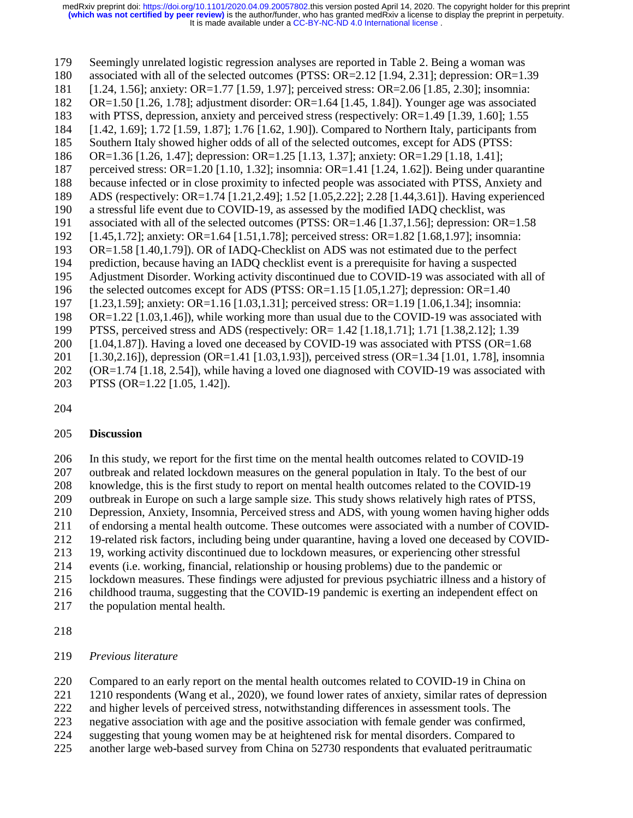179 Seemingly unrelated logistic regression analyses are reported in Table 2. Being a woman was 180 associated with all of the selected outcomes (PTSS: OR=2.12 [1.94, 2.31]; depression: OR=1.39 181 [1.24, 1.56]; anxiety: OR=1.77 [1.59, 1.97]; perceived stress: OR=2.06 [1.85, 2.30]; insomnia: 182 OR=1.50 [1.26, 1.78]; adjustment disorder: OR=1.64 [1.45, 1.84]). Younger age was associated 183 with PTSS, depression, anxiety and perceived stress (respectively: OR=1.49 [1.39, 1.60]; 1.55 184 [1.42, 1.69]; 1.72 [1.59, 1.87]; 1.76 [1.62, 1.90]). Compared to Northern Italy, participants from 185 Southern Italy showed higher odds of all of the selected outcomes, except for ADS (PTSS: 186 OR=1.36 [1.26, 1.47]; depression: OR=1.25 [1.13, 1.37]; anxiety: OR=1.29 [1.18, 1.41]; 187 perceived stress: OR=1.20 [1.10, 1.32]; insomnia: OR=1.41 [1.24, 1.62]). Being under quarantine 188 because infected or in close proximity to infected people was associated with PTSS, Anxiety and 189 ADS (respectively: OR=1.74 [1.21,2.49]; 1.52 [1.05,2.22]; 2.28 [1.44,3.61]). Having experienced 190 a stressful life event due to COVID-19, as assessed by the modified IADQ checklist, was 191 associated with all of the selected outcomes (PTSS: OR=1.46 [1.37,1.56]; depression: OR=1.58 192 [1.45,1.72]; anxiety: OR=1.64 [1.51,1.78]; perceived stress: OR=1.82 [1.68,1.97]; insomnia: 193 OR=1.58 [1.40,1.79]). OR of IADQ-Checklist on ADS was not estimated due to the perfect 194 prediction, because having an IADQ checklist event is a prerequisite for having a suspected 195 Adjustment Disorder. Working activity discontinued due to COVID-19 was associated with all of 196 the selected outcomes except for ADS (PTSS: OR=1.15 [1.05,1.27]; depression: OR=1.40 197 [1.23,1.59]; anxiety: OR=1.16 [1.03,1.31]; perceived stress: OR=1.19 [1.06,1.34]; insomnia: 198 OR=1.22 [1.03,1.46]), while working more than usual due to the COVID-19 was associated with 199 PTSS, perceived stress and ADS (respectively: OR= 1.42 [1.18,1.71]; 1.71 [1.38,2.12]; 1.39 200 [1.04,1.87]). Having a loved one deceased by COVID-19 was associated with PTSS (OR=1.68 201 [1.30,2.16]), depression (OR=1.41 [1.03,1.93]), perceived stress (OR=1.34 [1.01, 1.78], insomnia 202 (OR=1.74 [1.18, 2.54]), while having a loved one diagnosed with COVID-19 was associated with 203 PTSS (OR=1.22 [1.05, 1.42]).

204

#### 205 **Discussion**

206 In this study, we report for the first time on the mental health outcomes related to COVID-19 207 outbreak and related lockdown measures on the general population in Italy. To the best of our 208 knowledge, this is the first study to report on mental health outcomes related to the COVID-19 209 outbreak in Europe on such a large sample size. This study shows relatively high rates of PTSS,<br>210 Depression, Anxiety, Insomnia, Perceived stress and ADS, with young women having higher od 210 Depression, Anxiety, Insomnia, Perceived stress and ADS, with young women having higher odds 211 of endorsing a mental health outcome. These outcomes were associated with a number of COVID-212 19-related risk factors, including being under quarantine, having a loved one deceased by COVID-213 19, working activity discontinued due to lockdown measures, or experiencing other stressful 214 events (i.e. working, financial, relationship or housing problems) due to the pandemic or 215 lockdown measures. These findings were adjusted for previous psychiatric illness and a history of 216 childhood trauma, suggesting that the COVID-19 pandemic is exerting an independent effect on 217 the population mental health.

218

#### 219 *Previous literature*

220 Compared to an early report on the mental health outcomes related to COVID-19 in China on

221 1210 respondents (Wang et al., 2020), we found lower rates of anxiety, similar rates of depression

222 and higher levels of perceived stress, notwithstanding differences in assessment tools. The

223 negative association with age and the positive association with female gender was confirmed,

- 224 suggesting that young women may be at heightened risk for mental disorders. Compared to
- 225 another large web-based survey from China on 52730 respondents that evaluated peritraumatic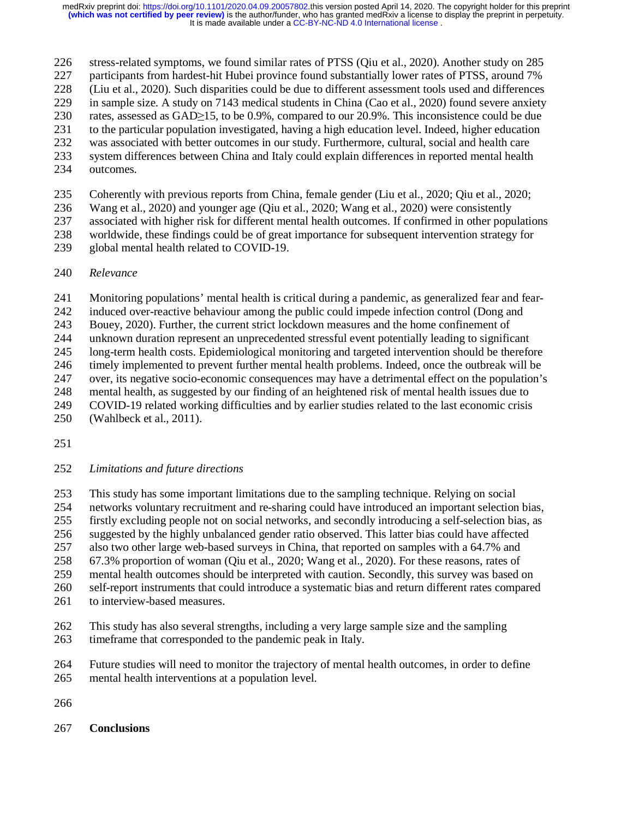226 stress-related symptoms, we found similar rates of PTSS (Qiu et al., 2020). Another study on 285 participants from hardest-hit Hubei province found substantially lower rates of PTSS, around 7%

227 participants from hardest-hit Hubei province found substantially lower rates of PTSS, around 7%

228 (Liu et al., 2020). Such disparities could be due to different assessment tools used and differences

229 in sample size. A study on 7143 medical students in China (Cao et al., 2020) found severe anxiety

230 rates, assessed as  $GAD \ge 15$ , to be 0.9%, compared to our 20.9%. This inconsistence could be due<br>231 to the particular population investigated, having a high education level. Indeed, higher education

231 to the particular population investigated, having a high education level. Indeed, higher education

- 232 was associated with better outcomes in our study. Furthermore, cultural, social and health care 233 system differences between China and Italy could explain differences in reported mental health
- 
- 234 outcomes.

235 Coherently with previous reports from China, female gender (Liu et al., 2020; Qiu et al., 2020;

236 Wang et al., 2020) and younger age (Qiu et al., 2020; Wang et al., 2020) were consistently

237 associated with higher risk for different mental health outcomes. If confirmed in other populations

238 worldwide, these findings could be of great importance for subsequent intervention strategy for 239 global mental health related to COVID-19.

240 *Relevance* 

241 Monitoring populations' mental health is critical during a pandemic, as generalized fear and fear-

242 induced over-reactive behaviour among the public could impede infection control (Dong and

243 Bouey, 2020). Further, the current strict lockdown measures and the home confinement of

244 unknown duration represent an unprecedented stressful event potentially leading to significant

245 long-term health costs. Epidemiological monitoring and targeted intervention should be therefore

246 timely implemented to prevent further mental health problems. Indeed, once the outbreak will be

247 over, its negative socio-economic consequences may have a detrimental effect on the population's 248 mental health, as suggested by our finding of an heightened risk of mental health issues due to

249 COVID-19 related working difficulties and by earlier studies related to the last economic crisis

250 (Wahlbeck et al., 2011).

- 251
- 252 *Limitations and future directions*

253 This study has some important limitations due to the sampling technique. Relying on social 254 networks voluntary recruitment and re-sharing could have introduced an important selection bias, 255 firstly excluding people not on social networks, and secondly introducing a self-selection bias, as 256 suggested by the highly unbalanced gender ratio observed. This latter bias could have affected 257 also two other large web-based surveys in China, that reported on samples with a 64.7% and 258 67.3% proportion of woman (Qiu et al., 2020; Wang et al., 2020). For these reasons, rates of 259 mental health outcomes should be interpreted with caution. Secondly, this survey was based on 260 self-report instruments that could introduce a systematic bias and return different rates compared

- 261 to interview-based measures.
- 262 This study has also several strengths, including a very large sample size and the sampling 263 timeframe that corresponded to the pandemic peak in Italy.
- 264 Future studies will need to monitor the trajectory of mental health outcomes, in order to define 265 mental health interventions at a population level.
- 266
- 267 **Conclusions**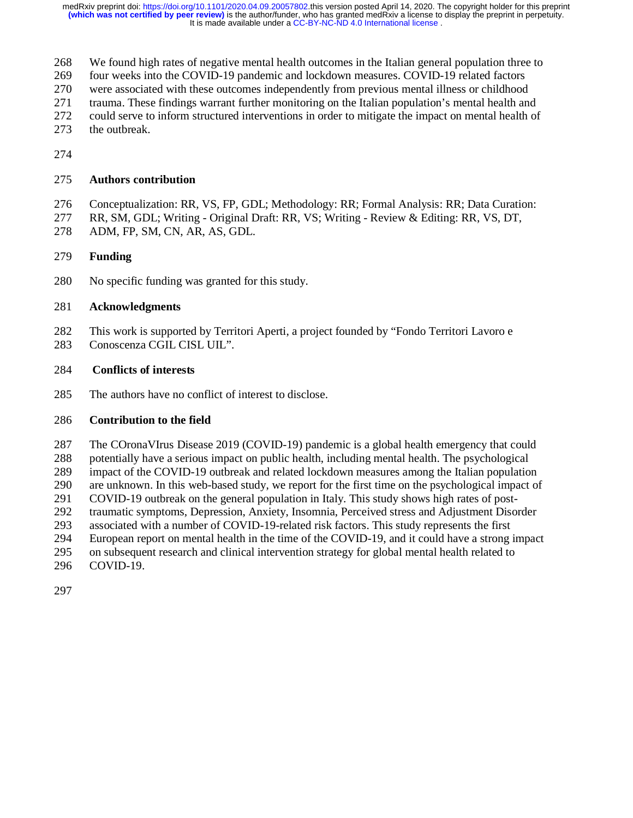268 We found high rates of negative mental health outcomes in the Italian general population three to

269 four weeks into the COVID-19 pandemic and lockdown measures. COVID-19 related factors

270 were associated with these outcomes independently from previous mental illness or childhood

271 trauma. These findings warrant further monitoring on the Italian population's mental health and

272 could serve to inform structured interventions in order to mitigate the impact on mental health of

- 273 the outbreak.
- 274

#### 275 **Authors contribution**

276 Conceptualization: RR, VS, FP, GDL; Methodology: RR; Formal Analysis: RR; Data Curation:

- 277 RR, SM, GDL; Writing Original Draft: RR, VS; Writing Review & Editing: RR, VS, DT,
- 278 ADM, FP, SM, CN, AR, AS, GDL.

## 279 **Funding**

280 No specific funding was granted for this study.

#### 281 **Acknowledgments**

282 This work is supported by Territori Aperti, a project founded by "Fondo Territori Lavoro e 283 Conoscenza CGIL CISL UIL".

#### 284 **Conflicts of interests**

285 The authors have no conflict of interest to disclose.

## 286 **Contribution to the field**

287 The COronaVIrus Disease 2019 (COVID-19) pandemic is a global health emergency that could 288 potentially have a serious impact on public health, including mental health. The psychological 289 impact of the COVID-19 outbreak and related lockdown measures among the Italian population 290 are unknown. In this web-based study, we report for the first time on the psychological impact of 291 COVID-19 outbreak on the general population in Italy. This study shows high rates of post-<br>292 traumatic symptoms, Depression, Anxiety, Insomnia, Perceived stress and Adjustment Disor 292 traumatic symptoms, Depression, Anxiety, Insomnia, Perceived stress and Adjustment Disorder 293 associated with a number of COVID-19-related risk factors. This study represents the first 294 European report on mental health in the time of the COVID-19, and it could have a strong impact 295 on subsequent research and clinical intervention strategy for global mental health related to 296 COVID-19.

297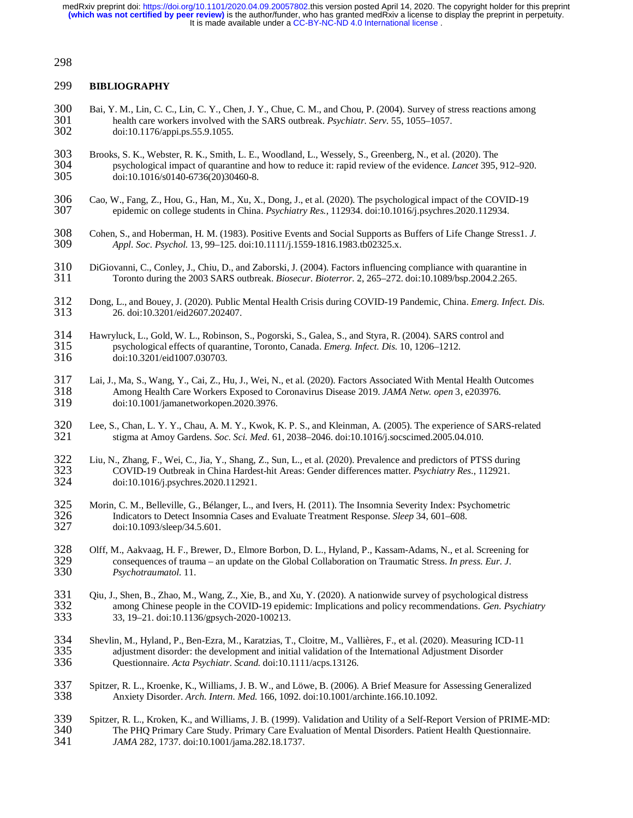#### 298

#### 299 **BIBLIOGRAPHY**

- 300 Bai, Y. M., Lin, C. C., Lin, C. Y., Chen, J. Y., Chue, C. M., and Chou, P. (2004). Survey of stress reactions among health care workers involved with the SARS outbreak. *Psychiatr. Serv.* 55, 1055–1057. 301 health care workers involved with the SARS outbreak. *Psychiatr. Serv.* 55, 1055–1057. 302 doi:10.1176/appi.ps.55.9.1055.
- 303 Brooks, S. K., Webster, R. K., Smith, L. E., Woodland, L., Wessely, S., Greenberg, N., et al. (2020). The psychological impact of quarantine and how to reduce it: rapid review of the evidence. *Lancet* 395, 304 psychological impact of quarantine and how to reduce it: rapid review of the evidence. *Lancet* 395, 912–920. 305 doi:10.1016/s0140-6736(20)30460-8.
- 306 Cao, W., Fang, Z., Hou, G., Han, M., Xu, X., Dong, J., et al. (2020). The psychological impact of the COVID-19 epidemic on college students in China. *Psychiatry Res.*, 112934. doi:10.1016/j.psychres.2020.112934. 307 epidemic on college students in China. *Psychiatry Res.*, 112934. doi:10.1016/j.psychres.2020.112934.
- 308 Cohen, S., and Hoberman, H. M. (1983). Positive Events and Social Supports as Buffers of Life Change Stress1. *J.*  309 *Appl. Soc. Psychol.* 13, 99–125. doi:10.1111/j.1559-1816.1983.tb02325.x.
- 310 DiGiovanni, C., Conley, J., Chiu, D., and Zaborski, J. (2004). Factors influencing compliance with quarantine in 311 Toronto during the 2003 SARS outbreak. *Biosecur. Bioterror.* 2, 265–272. doi:10.1089/bsp.2004.2.265. 311 Toronto during the 2003 SARS outbreak. *Biosecur. Bioterror.* 2, 265–272. doi:10.1089/bsp.2004.2.265.
- 312 Dong, L., and Bouey, J. (2020). Public Mental Health Crisis during COVID-19 Pandemic, China. *Emerg. Infect. Dis.* 313 26. doi:10.3201/eid2607.202407.
- 314 Hawryluck, L., Gold, W. L., Robinson, S., Pogorski, S., Galea, S., and Styra, R. (2004). SARS control and<br>315 sychological effects of quarantine, Toronto, Canada. *Emerg. Infect. Dis.* 10, 1206–1212. 315 psychological effects of quarantine, Toronto, Canada. *Emerg. Infect. Dis.* 10, 1206–1212. 316 doi:10.3201/eid1007.030703.
- 317 Lai, J., Ma, S., Wang, Y., Cai, Z., Hu, J., Wei, N., et al. (2020). Factors Associated With Mental Health Outcomes Among Health Care Workers Exposed to Coronavirus Disease 2019. *JAMA Netw. open* 3, e203976. 318 Among Health Care Workers Exposed to Coronavirus Disease 2019. *JAMA Netw. open* 3, e203976. 319 doi:10.1001/jamanetworkopen.2020.3976.
- 320 Lee, S., Chan, L. Y. Y., Chau, A. M. Y., Kwok, K. P. S., and Kleinman, A. (2005). The experience of SARS-related stigma at Amoy Gardens. *Soc. Sci. Med.* 61, 2038–2046. doi:10.1016/j.socscimed. 2005.04.010. 321 stigma at Amoy Gardens. *Soc. Sci. Med.* 61, 2038–2046. doi:10.1016/j.socscimed.2005.04.010.
- 322 Liu, N., Zhang, F., Wei, C., Jia, Y., Shang, Z., Sun, L., et al. (2020). Prevalence and predictors of PTSS during<br>323 COVID-19 Outbreak in China Hardest-hit Areas: Gender differences matter. *Psychiatry Res.*, 112921. 323 COVID-19 Outbreak in China Hardest-hit Areas: Gender differences matter. *Psychiatry Res.*, 112921. 324 doi:10.1016/j.psychres.2020.112921.
- 325 Morin, C. M., Belleville, G., Bélanger, L., and Ivers, H. (2011). The Insomnia Severity Index: Psychometric 326 Indicators to Detect Insomnia Cases and Evaluate Treatment Response. *Sleep* 34, 601–608. 326 Indicators to Detect Insomnia Cases and Evaluate Treatment Response. *Sleep* 34, 601–608. doi:10.1093/sleep/34.5.601.
- 328 Olff, M., Aakvaag, H. F., Brewer, D., Elmore Borbon, D. L., Hyland, P., Kassam-Adams, N., et al. Screening for consequences of trauma an update on the Global Collaboration on Traumatic Stress. *In press. Eur. J.* 329 consequences of trauma – an update on the Global Collaboration on Traumatic Stress. *In press. Eur. J.*  330 *Psychotraumatol.* 11.
- Qiu, J., Shen, B., Zhao, M., Wang, Z., Xie, B., and Xu, Y. (2020). A nationwide survey of psychological distress<br>332 among Chinese people in the COVID-19 epidemic: Implications and policy recommendations. *Gen. Psychi*<br>33, 332 among Chinese people in the COVID-19 epidemic: Implications and policy recommendations. *Gen. Psychiatry* 333 33, 19–21. doi:10.1136/gpsych-2020-100213.
- 334 Shevlin, M., Hyland, P., Ben-Ezra, M., Karatzias, T., Cloitre, M., Vallières, F., et al. (2020). Measuring ICD-11 335 adjustment disorder: the development and initial validation of the International Adjustment Disorder 336 Questionnaire. *Acta Psychiatr. Scand.* doi:10.1111/acps.13126. 336 Questionnaire. *Acta Psychiatr. Scand.* doi:10.1111/acps.13126.
- 337 Spitzer, R. L., Kroenke, K., Williams, J. B. W., and Löwe, B. (2006). A Brief Measure for Assessing Generalized Anxiety Disorder. Arch. Intern. Med. 166, 1092. doi:10.1001/archinte.166.10.1092. 338 Anxiety Disorder. *Arch. Intern. Med.* 166, 1092. doi:10.1001/archinte.166.10.1092.
- 339 Spitzer, R. L., Kroken, K., and Williams, J. B. (1999). Validation and Utility of a Self-Report Version of PRIME-MD:<br>340 The PHO Primary Care Study. Primary Care Evaluation of Mental Disorders. Patient Health Ouestionn 340 The PHQ Primary Care Study. Primary Care Evaluation of Mental Disorders. Patient Health Questionnaire.<br>341 JAMA 282, 1737. doi:10.1001/jama.282.18.1737. 341 *JAMA* 282, 1737. doi:10.1001/jama.282.18.1737.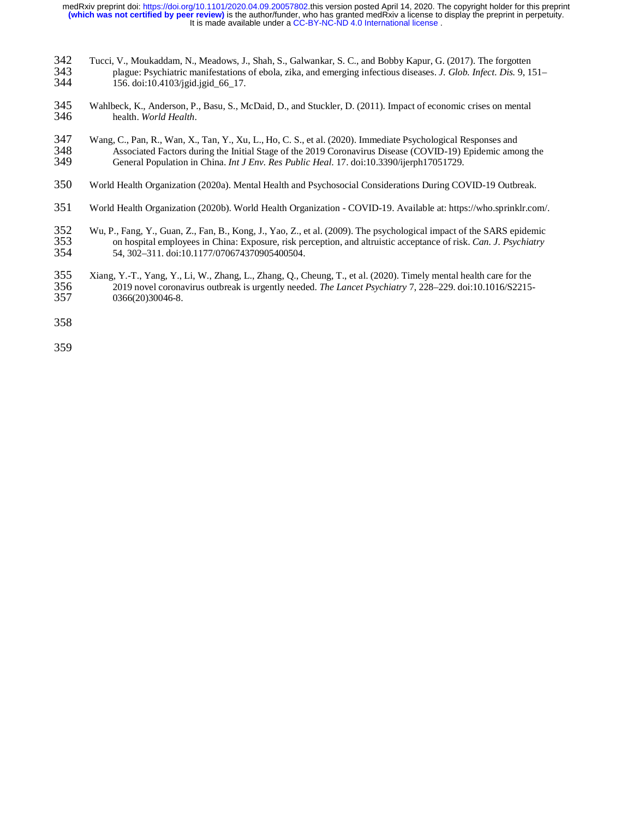- 342 Tucci, V., Moukaddam, N., Meadows, J., Shah, S., Galwankar, S. C., and Bobby Kapur, G. (2017). The forgotten plague: Psychiatric manifestations of ebola, zika, and emerging infectious diseases. J. Glob. Infect. Dis. 9, 343 plague: Psychiatric manifestations of ebola, zika, and emerging infectious diseases. *J. Glob. Infect. Dis.* 9, 151–
- 344 156. doi:10.4103/jgid.jgid\_66\_17.
- 345 Wahlbeck, K., Anderson, P., Basu, S., McDaid, D., and Stuckler, D. (2011). Impact of economic crises on mental health. World Health. health. World Health.
- 347 Wang, C., Pan, R., Wan, X., Tan, Y., Xu, L., Ho, C. S., et al. (2020). Immediate Psychological Responses and 348 Associated Factors during the Initial Stage of the 2019 Coronavirus Disease (COVID-19) Epidemic amo 348 Associated Factors during the Initial Stage of the 2019 Coronavirus Disease (COVID-19) Epidemic among the 349 General Population in China. *Int J Env. Res Public Heal.* 17. doi:10.3390/ijerph17051729. 349 General Population in China. *Int J Env. Res Public Heal.* 17. doi:10.3390/ijerph17051729.
- 350 World Health Organization (2020a). Mental Health and Psychosocial Considerations During COVID-19 Outbreak.
- 351 World Health Organization (2020b). World Health Organization COVID-19. Available at: https://who.sprinklr.com/.
- 352 Wu, P., Fang, Y., Guan, Z., Fan, B., Kong, J., Yao, Z., et al. (2009). The psychological impact of the SARS epidemic 353 on hospital employees in China: Exposure, risk perception, and altruistic acceptance of risk. *Can. J. Psychiatry* 354 54, 302–311. doi:10.1177/070674370905400504.
- 355 Xiang, Y.-T., Yang, Y., Li, W., Zhang, L., Zhang, Q., Cheung, T., et al. (2020). Timely mental health care for the 2019 novel coronavirus outbreak is urgently needed. The Lancet Psychiatry 7, 228–229. doi:10.1016/S2215 356 2019 novel coronavirus outbreak is urgently needed. *The Lancet Psychiatry* 7, 228–229. doi:10.1016/S2215- 0366(20)30046-8.
- 358

359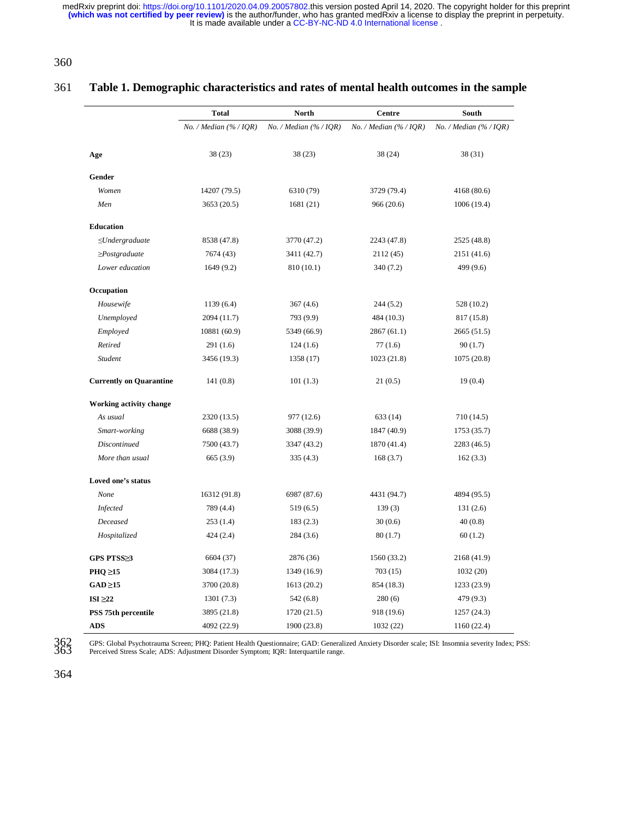It is made available under a [CC-BY-NC-ND 4.0 International license](http://creativecommons.org/licenses/by-nc-nd/4.0/) . medRxiv preprint doi: [https://doi.org/10.1101/2020.04.09.20057802.](https://doi.org/10.1101/2020.04.09.20057802)this version posted April 14, 2020. The copyright holder for this preprint<br>(which was not certified by peer review) is the author/funder, who has granted me

360

#### 361 **Table 1. Demographic characteristics and rates of mental health outcomes in the sample**

|                                | <b>Total</b>         | North                           | Centre                          | South                    |  |
|--------------------------------|----------------------|---------------------------------|---------------------------------|--------------------------|--|
|                                | No. / Median (%/IQR) | No. / Median $(\frac{96}{1QR})$ | No. / Median $(\frac{96}{10R})$ | No. / Median $(% / IOR)$ |  |
|                                |                      |                                 |                                 |                          |  |
| Age                            | 38(23)               | 38(23)                          | 38 (24)                         | 38(31)                   |  |
| Gender                         |                      |                                 |                                 |                          |  |
| Women                          | 14207 (79.5)         | 6310 (79)                       | 3729 (79.4)                     | 4168 (80.6)              |  |
| Men                            | 3653 (20.5)          | 1681 (21)                       | 966(20.6)                       | 1006 (19.4)              |  |
| Education                      |                      |                                 |                                 |                          |  |
| $\leq$ Undergraduate           | 8538 (47.8)          | 3770 (47.2)                     | 2243 (47.8)                     | 2525 (48.8)              |  |
| $\geq$ Postgraduate            | 7674 (43)            | 3411 (42.7)                     | 2112 (45)                       | 2151 (41.6)              |  |
| Lower education                | 1649(9.2)            | 810 (10.1)                      | 340 (7.2)                       | 499 (9.6)                |  |
| Occupation                     |                      |                                 |                                 |                          |  |
| Housewife                      | 1139(6.4)            | 367(4.6)                        | 244 (5.2)                       | 528 (10.2)               |  |
| Unemployed                     | 2094 (11.7)          | 793 (9.9)                       | 484 (10.3)                      | 817 (15.8)               |  |
| Employed                       | 10881 (60.9)         | 5349 (66.9)                     | 2867(61.1)                      | 2665 (51.5)              |  |
| Retired                        | 291(1.6)             | 124(1.6)                        | 77(1.6)                         | 90(1.7)                  |  |
| <b>Student</b>                 | 3456 (19.3)          | 1358 (17)                       | 1023 (21.8)                     | 1075 (20.8)              |  |
| <b>Currently on Quarantine</b> | 141(0.8)             | 101(1.3)                        | 21(0.5)                         | 19(0.4)                  |  |
| Working activity change        |                      |                                 |                                 |                          |  |
| As usual                       | 2320 (13.5)          | 977 (12.6)                      | 633 (14)                        | 710 (14.5)               |  |
| Smart-working                  | 6688 (38.9)          | 3088 (39.9)                     | 1847 (40.9)                     | 1753 (35.7)              |  |
| <b>Discontinued</b>            | 7500 (43.7)          | 3347 (43.2)                     | 1870 (41.4)                     | 2283 (46.5)              |  |
| More than usual                | 665 (3.9)            | 335(4.3)                        | 168(3.7)                        | 162(3.3)                 |  |
| Loved one's status             |                      |                                 |                                 |                          |  |
| None                           | 16312 (91.8)         | 6987 (87.6)                     | 4431 (94.7)                     | 4894 (95.5)              |  |
| Infected                       | 789 (4.4)            | 519(6.5)                        | 139(3)                          | 131(2.6)                 |  |
| Deceased                       | 253(1.4)             | 183(2.3)                        | 30(0.6)                         | 40(0.8)                  |  |
| Hospitalized                   | 424 (2.4)            | 284 (3.6)                       | 80(1.7)                         | 60(1.2)                  |  |
| GPS PTSS≥3                     | 6604 (37)            | 2876 (36)                       | 1560 (33.2)                     | 2168 (41.9)              |  |
| $PHQ \geq 15$                  | 3084 (17.3)          | 1349 (16.9)                     | 703(15)                         | 1032(20)                 |  |
| $GAD \ge 15$                   | 3700 (20.8)          | 1613 (20.2)                     | 854 (18.3)                      | 1233 (23.9)              |  |
| ISI $\geq 22$                  | 1301(7.3)            | 542 (6.8)                       | 280(6)                          | 479 (9.3)                |  |
| PSS 75th percentile            | 3895 (21.8)          | 1720 (21.5)                     | 918 (19.6)                      | 1257 (24.3)              |  |
| <b>ADS</b>                     | 4092 (22.9)          | 1900 (23.8)                     | 1032(22)                        | 1160 (22.4)              |  |

362 GPS: Global Psychotrauma Screen; PHQ: Patient Health Questionnaire; GAD: Generalized Anxiety Disorder scale; ISI: Insomnia severity Index; PSS: Perceived Stress Scale; ADS: Adjustment Disorder Symptom; IQR: Interquartile range.

364